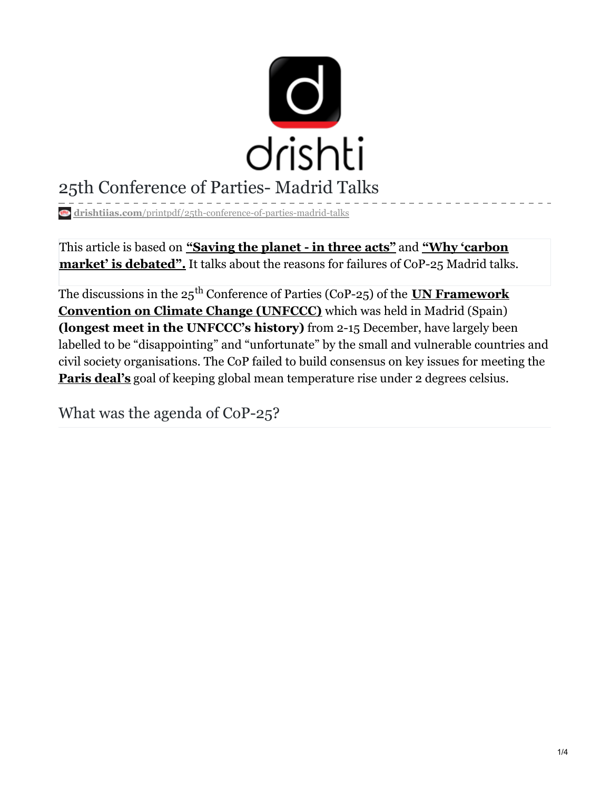

# 25th Conference of Parties- Madrid Talks

**drishtiias.com**[/printpdf/25th-conference-of-parties-madrid-talks](https://www.drishtiias.com/printpdf/25th-conference-of-parties-madrid-talks)

This article is based on **["Saving](https://www.business-standard.com/article/opinion/saving-the-planet-in-three-acts-119122400026_1.html) the planet - in three acts"** and **"Why 'carbon market' is [debated".](https://indianexpress.com/article/explained/why-carbon-market-is-debated-climate-change-meeting-madrid-paris-agreement-6154571/)** It talks about the reasons for failures of CoP-25 Madrid talks.

The discussions in the 25<sup>th</sup> Conference of Parties (CoP-25) of the **<u>UN [Framework](https://www.drishtiias.com/important-institutions/drishti-specials-important-institutions-international-institution/unfccc)</u> Convention on Climate Change (UNFCCC)** which was held in Madrid (Spain) **(longest meet in the UNFCCC's history)** from 2-15 December, have largely been labelled to be "disappointing" and "unfortunate" by the small and vulnerable countries and civil society organisations. The CoP failed to build consensus on key issues for meeting the **Paris [deal's](https://www.drishtiias.com/loksabha-rajyasabha-discussions/the-big-picture-climate-change-act-now)** goal of keeping global mean temperature rise under 2 degrees celsius.

What was the agenda of CoP-25?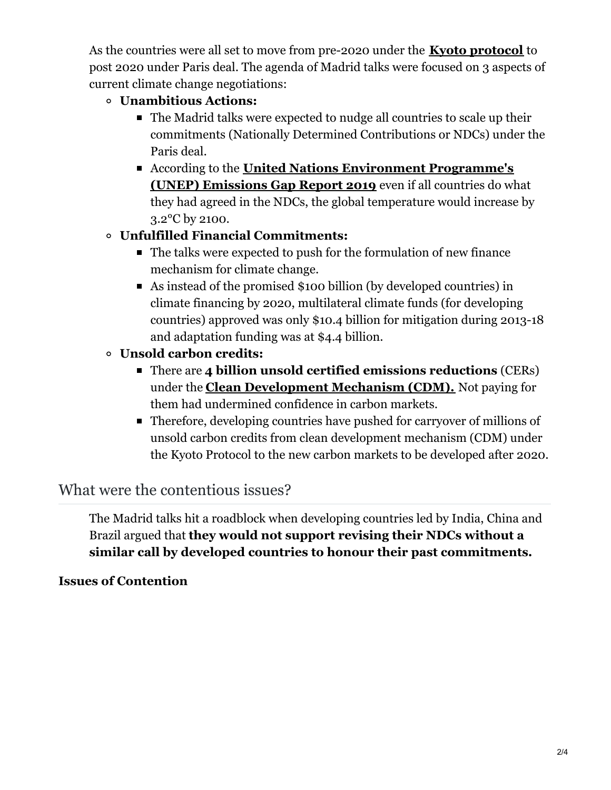As the countries were all set to move from pre-2020 under the **Kyoto [protocol](https://www.drishtiias.com/daily-updates/daily-news-editorials/how-markets-can-serve-climate)** to post 2020 under Paris deal. The agenda of Madrid talks were focused on 3 aspects of current climate change negotiations:

#### **Unambitious Actions:**

- The Madrid talks were expected to nudge all countries to scale up their commitments (Nationally Determined Contributions or NDCs) under the Paris deal.
- According to the **United Nations Environment [Programme's](https://www.drishtiias.com/daily-updates/daily-news-analysis/emission-gap-report-by-unep) (UNEP) Emissions Gap Report 2019** even if all countries do what they had agreed in the NDCs, the global temperature would increase by 3.2°C by 2100.

# **Unfulfilled Financial Commitments:**

- The talks were expected to push for the formulation of new finance mechanism for climate change.
- As instead of the promised \$100 billion (by developed countries) in climate financing by 2020, multilateral climate funds (for developing countries) approved was only \$10.4 billion for mitigation during 2013-18 and adaptation funding was at \$4.4 billion.

# **Unsold carbon credits:**

- There are **4 billion unsold certified emissions reductions** (CERs) under the **Clean [Development](https://www.drishtiias.com/daily-updates/daily-news-editorials/how-markets-can-serve-climate) Mechanism (CDM).** Not paying for them had undermined confidence in carbon markets.
- Therefore, developing countries have pushed for carryover of millions of unsold carbon credits from clean development mechanism (CDM) under the Kyoto Protocol to the new carbon markets to be developed after 2020.

# What were the contentious issues?

The Madrid talks hit a roadblock when developing countries led by India, China and Brazil argued that **they would not support revising their NDCs without a similar call by developed countries to honour their past commitments.**

## **Issues of Contention**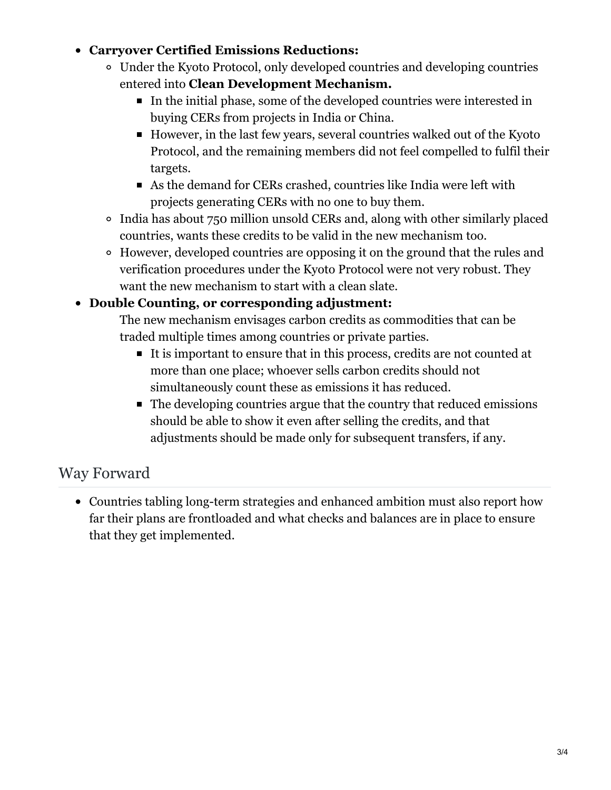#### **Carryover Certified Emissions Reductions:**

- Under the Kyoto Protocol, only developed countries and developing countries entered into **Clean Development Mechanism.**
	- In the initial phase, some of the developed countries were interested in buying CERs from projects in India or China.
	- However, in the last few years, several countries walked out of the Kyoto Protocol, and the remaining members did not feel compelled to fulfil their targets.
	- As the demand for CERs crashed, countries like India were left with projects generating CERs with no one to buy them.
- India has about 750 million unsold CERs and, along with other similarly placed countries, wants these credits to be valid in the new mechanism too.
- However, developed countries are opposing it on the ground that the rules and verification procedures under the Kyoto Protocol were not very robust. They want the new mechanism to start with a clean slate.

### **Double Counting, or corresponding adjustment:**

The new mechanism envisages carbon credits as commodities that can be traded multiple times among countries or private parties.

- It is important to ensure that in this process, credits are not counted at more than one place; whoever sells carbon credits should not simultaneously count these as emissions it has reduced.
- The developing countries argue that the country that reduced emissions should be able to show it even after selling the credits, and that adjustments should be made only for subsequent transfers, if any.

# Way Forward

Countries tabling long-term strategies and enhanced ambition must also report how far their plans are frontloaded and what checks and balances are in place to ensure that they get implemented.